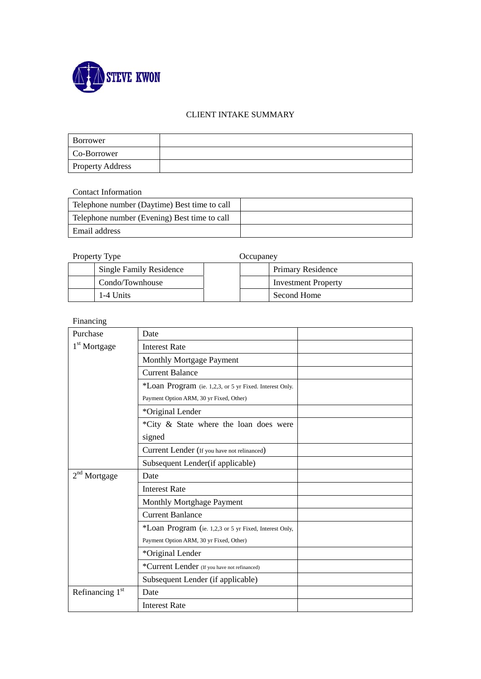

## CLIENT INTAKE SUMMARY

| Borrower                |  |
|-------------------------|--|
| Co-Borrower             |  |
| <b>Property Address</b> |  |

Contact Information

| Telephone number (Daytime) Best time to call |  |
|----------------------------------------------|--|
| Telephone number (Evening) Best time to call |  |
| Email address                                |  |

Property Type **Occupaney** 

| $110$ put $11$ $11$ $10$       | vvvuvulv 1 |                            |
|--------------------------------|------------|----------------------------|
| <b>Single Family Residence</b> |            | Primary Residence          |
| Condo/Townhouse                |            | <b>Investment Property</b> |
| 1-4 Units                      |            | Second Home                |

Financing

| Purchase                 | Date                                                    |  |
|--------------------------|---------------------------------------------------------|--|
| 1 <sup>st</sup> Mortgage | <b>Interest Rate</b>                                    |  |
|                          | Monthly Mortgage Payment                                |  |
|                          | <b>Current Balance</b>                                  |  |
|                          | *Loan Program (ie. 1,2,3, or 5 yr Fixed. Interest Only. |  |
|                          | Payment Option ARM, 30 yr Fixed, Other)                 |  |
|                          | *Original Lender                                        |  |
|                          | *City & State where the loan does were                  |  |
|                          | signed                                                  |  |
|                          | Current Lender (If you have not relinanced)             |  |
|                          | Subsequent Lender(if applicable)                        |  |
| $2nd$ Mortgage           | Date                                                    |  |
|                          | <b>Interest Rate</b>                                    |  |
|                          | Monthly Mortghage Payment                               |  |
|                          | <b>Current Banlance</b>                                 |  |
|                          | *Loan Program (ie. 1,2,3 or 5 yr Fixed, Interest Only,  |  |
|                          | Payment Option ARM, 30 yr Fixed, Other)                 |  |
|                          | *Original Lender                                        |  |
|                          | *Current Lender (If you have not refinanced)            |  |
|                          | Subsequent Lender (if applicable)                       |  |
| Refinancing $1st$        | Date                                                    |  |
|                          | <b>Interest Rate</b>                                    |  |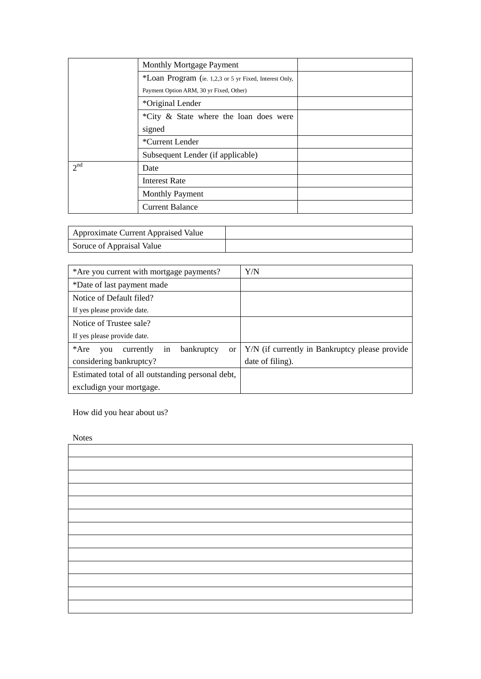|                                         | <b>Monthly Mortgage Payment</b>                        |  |
|-----------------------------------------|--------------------------------------------------------|--|
|                                         | *Loan Program (ie. 1,2,3 or 5 yr Fixed, Interest Only, |  |
| Payment Option ARM, 30 yr Fixed, Other) |                                                        |  |
|                                         | *Original Lender                                       |  |
|                                         | *City & State where the loan does were                 |  |
|                                         | signed                                                 |  |
|                                         | *Current Lender                                        |  |
|                                         | Subsequent Lender (if applicable)                      |  |
| 2 <sup>nd</sup>                         | Date                                                   |  |
|                                         | <b>Interest Rate</b>                                   |  |
|                                         | <b>Monthly Payment</b>                                 |  |
|                                         | <b>Current Balance</b>                                 |  |

| <b>Approximate Current Appraised Value</b> |  |
|--------------------------------------------|--|
| Soruce of Appraisal Value                  |  |

| *Are you current with mortgage payments?                        | Y/N                                            |
|-----------------------------------------------------------------|------------------------------------------------|
| *Date of last payment made                                      |                                                |
| Notice of Default filed?                                        |                                                |
| If yes please provide date.                                     |                                                |
| Notice of Trustee sale?                                         |                                                |
| If yes please provide date.                                     |                                                |
| $*Are$<br>currently<br>bankruptcy<br>in<br><sub>or</sub><br>you | Y/N (if currently in Bankruptcy please provide |
| considering bankruptcy?                                         | date of filing).                               |
| Estimated total of all outstanding personal debt,               |                                                |
| excludign your mortgage.                                        |                                                |

How did you hear about us?

Notes